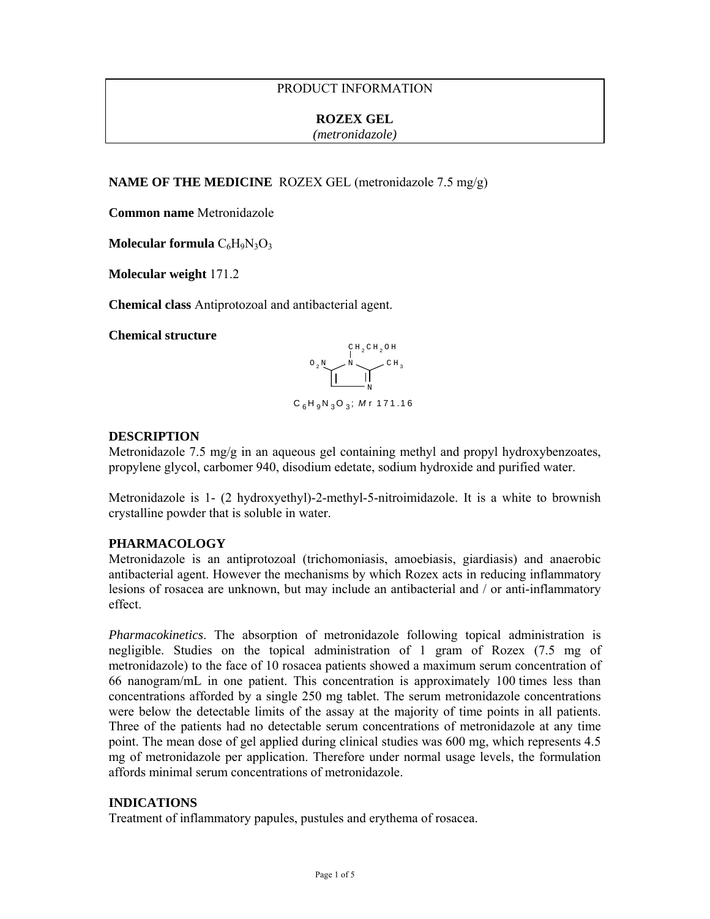# PRODUCT INFORMATION

#### **ROZEX GEL**

*(metronidazole)*

**NAME OF THE MEDICINE** ROZEX GEL (metronidazole 7.5 mg/g)

**Common name** Metronidazole

**Molecular formula**  $C_6H_9N_3O_3$ 

**Molecular weight** 171.2

**Chemical class** Antiprotozoal and antibacterial agent.

**Chemical structure** 



## **DESCRIPTION**

Metronidazole 7.5 mg/g in an aqueous gel containing methyl and propyl hydroxybenzoates, propylene glycol, carbomer 940, disodium edetate, sodium hydroxide and purified water.

Metronidazole is 1- (2 hydroxyethyl)-2-methyl-5-nitroimidazole. It is a white to brownish crystalline powder that is soluble in water.

#### **PHARMACOLOGY**

Metronidazole is an antiprotozoal (trichomoniasis, amoebiasis, giardiasis) and anaerobic antibacterial agent. However the mechanisms by which Rozex acts in reducing inflammatory lesions of rosacea are unknown, but may include an antibacterial and / or anti-inflammatory effect.

*Pharmacokinetics*. The absorption of metronidazole following topical administration is negligible. Studies on the topical administration of 1 gram of Rozex (7.5 mg of metronidazole) to the face of 10 rosacea patients showed a maximum serum concentration of 66 nanogram/mL in one patient. This concentration is approximately 100 times less than concentrations afforded by a single 250 mg tablet. The serum metronidazole concentrations were below the detectable limits of the assay at the majority of time points in all patients. Three of the patients had no detectable serum concentrations of metronidazole at any time point. The mean dose of gel applied during clinical studies was 600 mg, which represents 4.5 mg of metronidazole per application. Therefore under normal usage levels, the formulation affords minimal serum concentrations of metronidazole.

## **INDICATIONS**

Treatment of inflammatory papules, pustules and erythema of rosacea.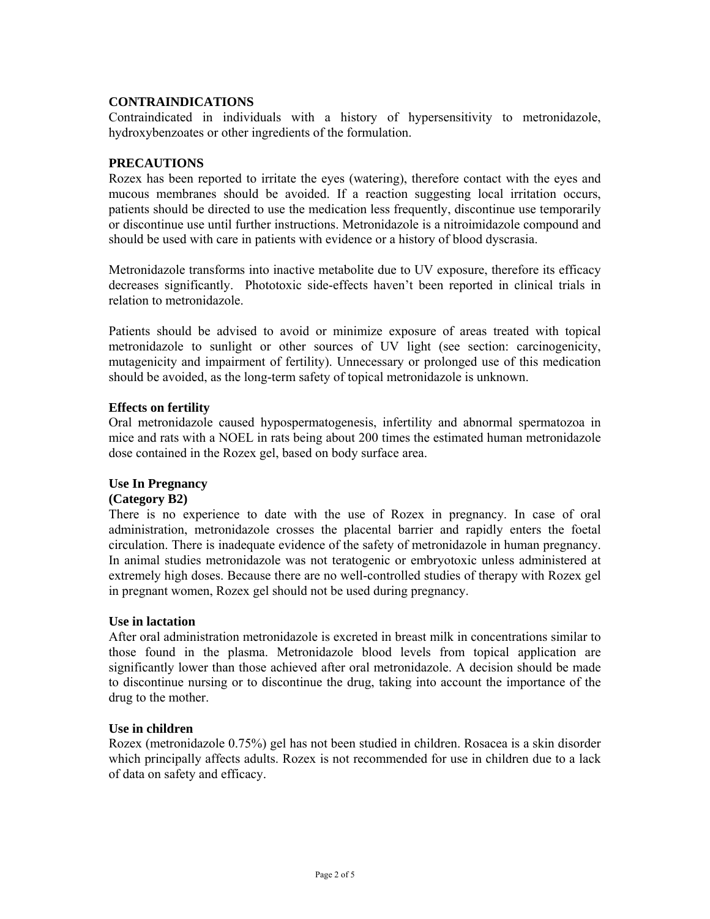## **CONTRAINDICATIONS**

Contraindicated in individuals with a history of hypersensitivity to metronidazole, hydroxybenzoates or other ingredients of the formulation.

## **PRECAUTIONS**

Rozex has been reported to irritate the eyes (watering), therefore contact with the eyes and mucous membranes should be avoided. If a reaction suggesting local irritation occurs, patients should be directed to use the medication less frequently, discontinue use temporarily or discontinue use until further instructions. Metronidazole is a nitroimidazole compound and should be used with care in patients with evidence or a history of blood dyscrasia.

Metronidazole transforms into inactive metabolite due to UV exposure, therefore its efficacy decreases significantly. Phototoxic side-effects haven't been reported in clinical trials in relation to metronidazole.

Patients should be advised to avoid or minimize exposure of areas treated with topical metronidazole to sunlight or other sources of UV light (see section: carcinogenicity, mutagenicity and impairment of fertility). Unnecessary or prolonged use of this medication should be avoided, as the long-term safety of topical metronidazole is unknown.

## **Effects on fertility**

Oral metronidazole caused hypospermatogenesis, infertility and abnormal spermatozoa in mice and rats with a NOEL in rats being about 200 times the estimated human metronidazole dose contained in the Rozex gel, based on body surface area.

## **Use In Pregnancy**

#### **(Category B2)**

There is no experience to date with the use of Rozex in pregnancy. In case of oral administration, metronidazole crosses the placental barrier and rapidly enters the foetal circulation. There is inadequate evidence of the safety of metronidazole in human pregnancy. In animal studies metronidazole was not teratogenic or embryotoxic unless administered at extremely high doses. Because there are no well-controlled studies of therapy with Rozex gel in pregnant women, Rozex gel should not be used during pregnancy.

#### **Use in lactation**

After oral administration metronidazole is excreted in breast milk in concentrations similar to those found in the plasma. Metronidazole blood levels from topical application are significantly lower than those achieved after oral metronidazole. A decision should be made to discontinue nursing or to discontinue the drug, taking into account the importance of the drug to the mother.

#### **Use in children**

Rozex (metronidazole 0.75%) gel has not been studied in children. Rosacea is a skin disorder which principally affects adults. Rozex is not recommended for use in children due to a lack of data on safety and efficacy.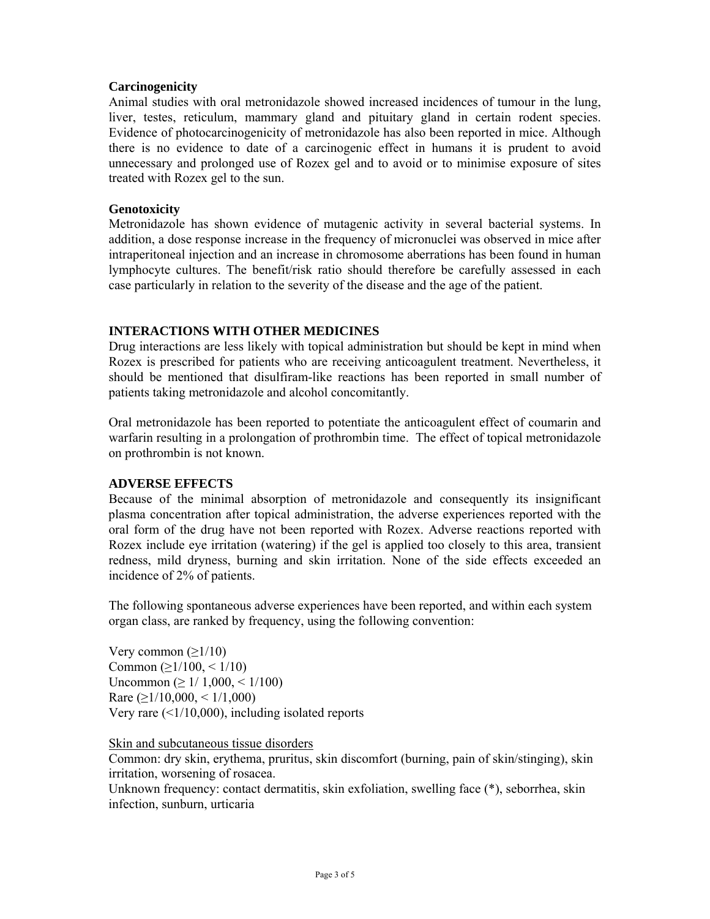## **Carcinogenicity**

Animal studies with oral metronidazole showed increased incidences of tumour in the lung, liver, testes, reticulum, mammary gland and pituitary gland in certain rodent species. Evidence of photocarcinogenicity of metronidazole has also been reported in mice. Although there is no evidence to date of a carcinogenic effect in humans it is prudent to avoid unnecessary and prolonged use of Rozex gel and to avoid or to minimise exposure of sites treated with Rozex gel to the sun.

## **Genotoxicity**

Metronidazole has shown evidence of mutagenic activity in several bacterial systems. In addition, a dose response increase in the frequency of micronuclei was observed in mice after intraperitoneal injection and an increase in chromosome aberrations has been found in human lymphocyte cultures. The benefit/risk ratio should therefore be carefully assessed in each case particularly in relation to the severity of the disease and the age of the patient.

# **INTERACTIONS WITH OTHER MEDICINES**

Drug interactions are less likely with topical administration but should be kept in mind when Rozex is prescribed for patients who are receiving anticoagulent treatment. Nevertheless, it should be mentioned that disulfiram-like reactions has been reported in small number of patients taking metronidazole and alcohol concomitantly.

Oral metronidazole has been reported to potentiate the anticoagulent effect of coumarin and warfarin resulting in a prolongation of prothrombin time. The effect of topical metronidazole on prothrombin is not known.

## **ADVERSE EFFECTS**

Because of the minimal absorption of metronidazole and consequently its insignificant plasma concentration after topical administration, the adverse experiences reported with the oral form of the drug have not been reported with Rozex. Adverse reactions reported with Rozex include eye irritation (watering) if the gel is applied too closely to this area, transient redness, mild dryness, burning and skin irritation. None of the side effects exceeded an incidence of 2% of patients.

The following spontaneous adverse experiences have been reported, and within each system organ class, are ranked by frequency, using the following convention:

Very common  $(\geq 1/10)$ Common ( $\geq$ 1/100, < 1/10) Uncommon (≥ 1/ 1,000, < 1/100) Rare  $(≥1/10,000, ≤1/1,000)$ Very rare  $(1/10,000)$ , including isolated reports

Skin and subcutaneous tissue disorders

Common: dry skin, erythema, pruritus, skin discomfort (burning, pain of skin/stinging), skin irritation, worsening of rosacea.

Unknown frequency: contact dermatitis, skin exfoliation, swelling face (\*), seborrhea, skin infection, sunburn, urticaria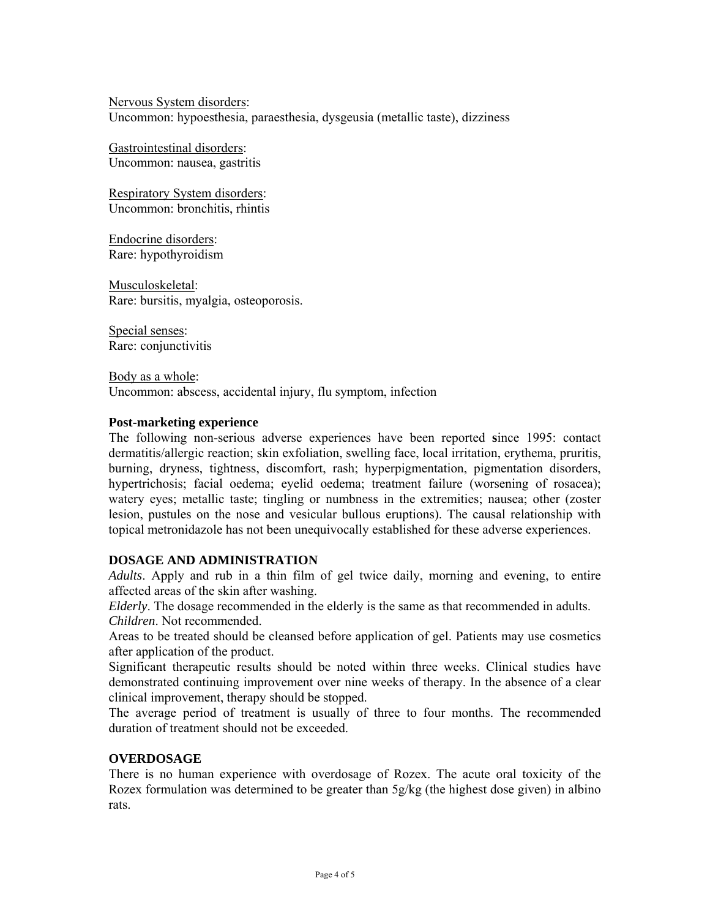Nervous System disorders: Uncommon: hypoesthesia, paraesthesia, dysgeusia (metallic taste), dizziness

Gastrointestinal disorders: Uncommon: nausea, gastritis

Respiratory System disorders: Uncommon: bronchitis, rhintis

Endocrine disorders: Rare: hypothyroidism

Musculoskeletal: Rare: bursitis, myalgia, osteoporosis.

Special senses: Rare: conjunctivitis

Body as a whole: Uncommon: abscess, accidental injury, flu symptom, infection

## **Post-marketing experience**

The following non-serious adverse experiences have been reported **s**ince 1995: contact dermatitis/allergic reaction; skin exfoliation, swelling face, local irritation, erythema, pruritis, burning, dryness, tightness, discomfort, rash; hyperpigmentation, pigmentation disorders, hypertrichosis; facial oedema; eyelid oedema; treatment failure (worsening of rosacea); watery eyes; metallic taste; tingling or numbness in the extremities; nausea; other (zoster lesion, pustules on the nose and vesicular bullous eruptions). The causal relationship with topical metronidazole has not been unequivocally established for these adverse experiences.

## **DOSAGE AND ADMINISTRATION**

*Adults*. Apply and rub in a thin film of gel twice daily, morning and evening, to entire affected areas of the skin after washing.

*Elderly*. The dosage recommended in the elderly is the same as that recommended in adults. *Children*. Not recommended.

Areas to be treated should be cleansed before application of gel. Patients may use cosmetics after application of the product.

Significant therapeutic results should be noted within three weeks. Clinical studies have demonstrated continuing improvement over nine weeks of therapy. In the absence of a clear clinical improvement, therapy should be stopped.

The average period of treatment is usually of three to four months. The recommended duration of treatment should not be exceeded.

# **OVERDOSAGE**

There is no human experience with overdosage of Rozex. The acute oral toxicity of the Rozex formulation was determined to be greater than 5g/kg (the highest dose given) in albino rats.